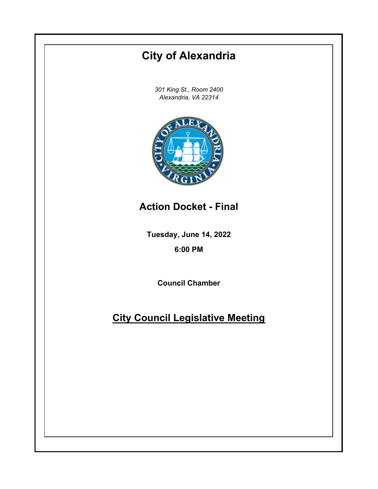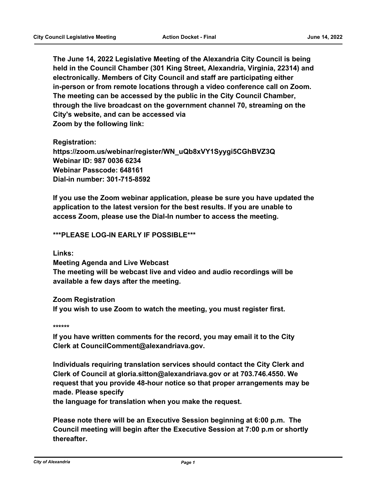**The June 14, 2022 Legislative Meeting of the Alexandria City Council is being held in the Council Chamber (301 King Street, Alexandria, Virginia, 22314) and electronically. Members of City Council and staff are participating either in-person or from remote locations through a video conference call on Zoom. The meeting can be accessed by the public in the City Council Chamber, through the live broadcast on the government channel 70, streaming on the City's website, and can be accessed via Zoom by the following link:**

**Registration: https://zoom.us/webinar/register/WN\_uQb8xVY1Syygi5CGhBVZ3Q Webinar ID: 987 0036 6234 Webinar Passcode: 648161 Dial-in number: 301-715-8592**

**If you use the Zoom webinar application, please be sure you have updated the application to the latest version for the best results. If you are unable to access Zoom, please use the Dial-In number to access the meeting.**

## **\*\*\*PLEASE LOG-IN EARLY IF POSSIBLE\*\*\***

**Links:**

**Meeting Agenda and Live Webcast The meeting will be webcast live and video and audio recordings will be available a few days after the meeting.**

**Zoom Registration If you wish to use Zoom to watch the meeting, you must register first.**

**\*\*\*\*\*\***

**If you have written comments for the record, you may email it to the City Clerk at CouncilComment@alexandriava.gov.**

**Individuals requiring translation services should contact the City Clerk and Clerk of Council at gloria.sitton@alexandriava.gov or at 703.746.4550. We request that you provide 48-hour notice so that proper arrangements may be made. Please specify**

**the language for translation when you make the request.**

**Please note there will be an Executive Session beginning at 6:00 p.m. The Council meeting will begin after the Executive Session at 7:00 p.m or shortly thereafter.**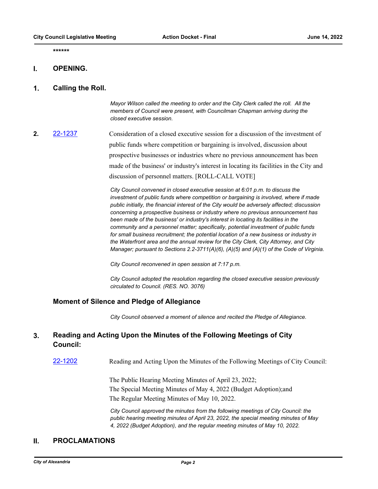**\*\*\*\*\*\***

### **I. OPENING.**

### **1. Calling the Roll.**

*Mayor Wilson called the meeting to order and the City Clerk called the roll. All the members of Council were present, with Councilman Chapman arriving during the closed executive session.*

**2.** [22-1237](http://alexandria.legistar.com/gateway.aspx?m=l&id=/matter.aspx?key=14835) Consideration of a closed executive session for a discussion of the investment of public funds where competition or bargaining is involved, discussion about prospective businesses or industries where no previous announcement has been made of the business' or industry's interest in locating its facilities in the City and discussion of personnel matters. [ROLL-CALL VOTE]

> *City Council convened in closed executive session at 6:01 p.m. to discuss the investment of public funds where competition or bargaining is involved, where if made public initially, the financial interest of the City would be adversely affected; discussion concerning a prospective business or industry where no previous announcement has been made of the business' or industry's interest in locating its facilities in the community and a personnel matter; specifically, potential investment of public funds for small business recruitment; the potential location of a new business or industry in the Waterfront area and the annual review for the City Clerk, City Attorney, and City Manager; pursuant to Sections 2.2-3711(A)(6), (A)(5) and (A)(1) of the Code of Virginia.*

*City Council reconvened in open session at 7:17 p.m.*

*City Council adopted the resolution regarding the closed executive session previously circulated to Council. (RES. NO. 3076)*

### **Moment of Silence and Pledge of Allegiance**

*City Council observed a moment of silence and recited the Pledge of Allegiance.*

#### **Reading and Acting Upon the Minutes of the Following Meetings of City Council: 3.**

[22-1202](http://alexandria.legistar.com/gateway.aspx?m=l&id=/matter.aspx?key=14800) Reading and Acting Upon the Minutes of the Following Meetings of City Council:

The Public Hearing Meeting Minutes of April 23, 2022; The Special Meeting Minutes of May 4, 2022 (Budget Adoption);and The Regular Meeting Minutes of May 10, 2022.

*City Council approved the minutes from the following meetings of City Council: the public hearing meeting minutes of April 23, 2022, the special meeting minutes of May 4, 2022 (Budget Adoption), and the regular meeting minutes of May 10, 2022.*

## **II. PROCLAMATIONS**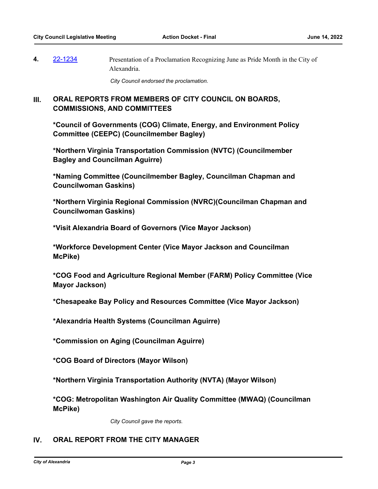**4.** [22-1234](http://alexandria.legistar.com/gateway.aspx?m=l&id=/matter.aspx?key=14832) Presentation of a Proclamation Recognizing June as Pride Month in the City of Alexandria.

*City Council endorsed the proclamation.*

### **ORAL REPORTS FROM MEMBERS OF CITY COUNCIL ON BOARDS, COMMISSIONS, AND COMMITTEES III.**

**\*Council of Governments (COG) Climate, Energy, and Environment Policy Committee (CEEPC) (Councilmember Bagley)**

**\*Northern Virginia Transportation Commission (NVTC) (Councilmember Bagley and Councilman Aguirre)**

**\*Naming Committee (Councilmember Bagley, Councilman Chapman and Councilwoman Gaskins)**

**\*Northern Virginia Regional Commission (NVRC)(Councilman Chapman and Councilwoman Gaskins)**

**\*Visit Alexandria Board of Governors (Vice Mayor Jackson)**

**\*Workforce Development Center (Vice Mayor Jackson and Councilman McPike)**

**\*COG Food and Agriculture Regional Member (FARM) Policy Committee (Vice Mayor Jackson)**

**\*Chesapeake Bay Policy and Resources Committee (Vice Mayor Jackson)**

**\*Alexandria Health Systems (Councilman Aguirre)**

**\*Commission on Aging (Councilman Aguirre)**

**\*COG Board of Directors (Mayor Wilson)**

**\*Northern Virginia Transportation Authority (NVTA) (Mayor Wilson)**

**\*COG: Metropolitan Washington Air Quality Committee (MWAQ) (Councilman McPike)**

*City Council gave the reports.*

## **IV. ORAL REPORT FROM THE CITY MANAGER**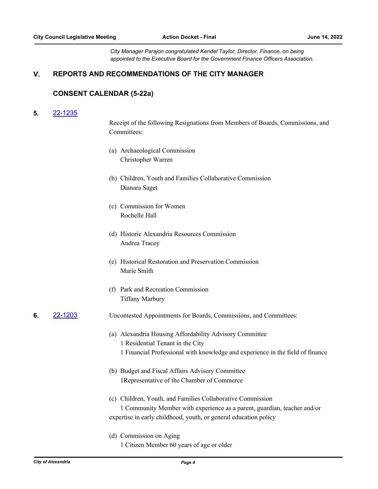*City Manager Parajon congratulated Kendel Taylor, Director, Finance, on being appointed to the Executive Board for the Government Finance Officers Association.*

# **V. REPORTS AND RECOMMENDATIONS OF THE CITY MANAGER**

### **CONSENT CALENDAR (5-22a)**

### **5.** [22-1235](http://alexandria.legistar.com/gateway.aspx?m=l&id=/matter.aspx?key=14833)

Receipt of the following Resignations from Members of Boards, Commissions, and Committees:

- (a) Archaeological Commission Christopher Warren
- (b) Children, Youth and Families Collaborative Commission Dianara Saget
- (c) Commission for Women Rochelle Hall
- (d) Historic Alexandria Resources Commission Andrea Tracey
- (e) Historical Restoration and Preservation Commission Marie Smith
- (f) Park and Recreation Commission Tiffany Marbury

## **6.** [22-1203](http://alexandria.legistar.com/gateway.aspx?m=l&id=/matter.aspx?key=14801) Uncontested Appointments for Boards, Commissions, and Committees:

- (a) Alexandria Housing Affordability Advisory Committee 1 Residential Tenant in the City 1 Financial Professional with knowledge and experience in the field of finance
- (b) Budget and Fiscal Affairs Advisory Committee 1Representative of the Chamber of Commerce
- (c) Children, Youth, and Families Collaborative Commission 1 Community Member with experience as a parent, guardian, teacher and/or expertise in early childhood, youth, or general education policy
- (d) Commission on Aging 1 Citizen Member 60 years of age or older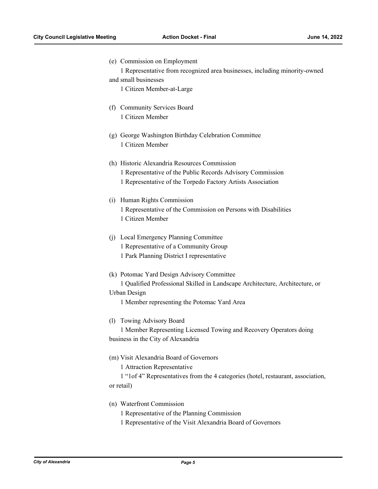(e) Commission on Employment

1 Representative from recognized area businesses, including minority-owned

- and small businesses 1 Citizen Member-at-Large
- (f) Community Services Board 1 Citizen Member
- (g) George Washington Birthday Celebration Committee 1 Citizen Member
- (h) Historic Alexandria Resources Commission 1 Representative of the Public Records Advisory Commission 1 Representative of the Torpedo Factory Artists Association
- (i) Human Rights Commission 1 Representative of the Commission on Persons with Disabilities 1 Citizen Member
- (j) Local Emergency Planning Committee 1 Representative of a Community Group 1 Park Planning District I representative
- (k) Potomac Yard Design Advisory Committee 1 Qualified Professional Skilled in Landscape Architecture, Architecture, or Urban Design
	- 1 Member representing the Potomac Yard Area
- (l) Towing Advisory Board

1 Member Representing Licensed Towing and Recovery Operators doing business in the City of Alexandria

- (m) Visit Alexandria Board of Governors
	- 1 Attraction Representative

1 "1of 4" Representatives from the 4 categories (hotel, restaurant, association, or retail)

- (n) Waterfront Commission
	- 1 Representative of the Planning Commission
	- 1 Representative of the Visit Alexandria Board of Governors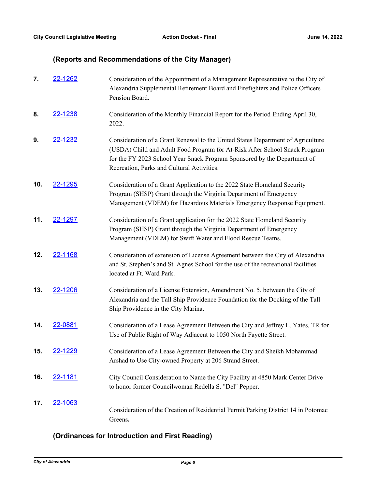# **(Reports and Recommendations of the City Manager)**

| 7.  | 22-1262        | Consideration of the Appointment of a Management Representative to the City of<br>Alexandria Supplemental Retirement Board and Firefighters and Police Officers<br>Pension Board.                                                                                                       |
|-----|----------------|-----------------------------------------------------------------------------------------------------------------------------------------------------------------------------------------------------------------------------------------------------------------------------------------|
| 8.  | 22-1238        | Consideration of the Monthly Financial Report for the Period Ending April 30,<br>2022.                                                                                                                                                                                                  |
| 9.  | 22-1232        | Consideration of a Grant Renewal to the United States Department of Agriculture<br>(USDA) Child and Adult Food Program for At-Risk After School Snack Program<br>for the FY 2023 School Year Snack Program Sponsored by the Department of<br>Recreation, Parks and Cultural Activities. |
| 10. | 22-1295        | Consideration of a Grant Application to the 2022 State Homeland Security<br>Program (SHSP) Grant through the Virginia Department of Emergency<br>Management (VDEM) for Hazardous Materials Emergency Response Equipment.                                                                |
| 11. | 22-1297        | Consideration of a Grant application for the 2022 State Homeland Security<br>Program (SHSP) Grant through the Virginia Department of Emergency<br>Management (VDEM) for Swift Water and Flood Rescue Teams.                                                                             |
| 12. | 22-1168        | Consideration of extension of License Agreement between the City of Alexandria<br>and St. Stephen's and St. Agnes School for the use of the recreational facilities<br>located at Ft. Ward Park.                                                                                        |
| 13. | 22-1206        | Consideration of a License Extension, Amendment No. 5, between the City of<br>Alexandria and the Tall Ship Providence Foundation for the Docking of the Tall<br>Ship Providence in the City Marina.                                                                                     |
| 14. | 22-0881        | Consideration of a Lease Agreement Between the City and Jeffrey L. Yates, TR for<br>Use of Public Right of Way Adjacent to 1050 North Fayette Street.                                                                                                                                   |
|     | <u>22-1229</u> | Consideration of a Lease Agreement Between the City and Sheikh Mohammad<br>Arshad to Use City-owned Property at 206 Strand Street.                                                                                                                                                      |
| 16. | <u>22-1181</u> | City Council Consideration to Name the City Facility at 4850 Mark Center Drive<br>to honor former Councilwoman Redella S. "Del" Pepper.                                                                                                                                                 |
| 17. | 22-1063        | Consideration of the Creation of Residential Permit Parking District 14 in Potomac<br>Greens.                                                                                                                                                                                           |

# **(Ordinances for Introduction and First Reading)**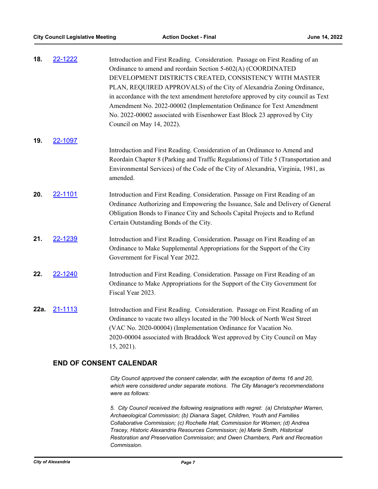| 18.  | 22-1222 | Introduction and First Reading. Consideration. Passage on First Reading of an<br>Ordinance to amend and reordain Section 5-602(A) (COORDINATED<br>DEVELOPMENT DISTRICTS CREATED, CONSISTENCY WITH MASTER<br>PLAN, REQUIRED APPROVALS) of the City of Alexandria Zoning Ordinance,<br>in accordance with the text amendment heretofore approved by city council as Text<br>Amendment No. 2022-00002 (Implementation Ordinance for Text Amendment<br>No. 2022-00002 associated with Eisenhower East Block 23 approved by City |
|------|---------|-----------------------------------------------------------------------------------------------------------------------------------------------------------------------------------------------------------------------------------------------------------------------------------------------------------------------------------------------------------------------------------------------------------------------------------------------------------------------------------------------------------------------------|
|      |         | Council on May 14, 2022).                                                                                                                                                                                                                                                                                                                                                                                                                                                                                                   |
| 19.  | 22-1097 |                                                                                                                                                                                                                                                                                                                                                                                                                                                                                                                             |
|      |         | Introduction and First Reading. Consideration of an Ordinance to Amend and<br>Reordain Chapter 8 (Parking and Traffic Regulations) of Title 5 (Transportation and<br>Environmental Services) of the Code of the City of Alexandria, Virginia, 1981, as<br>amended.                                                                                                                                                                                                                                                          |
| 20.  | 22-1101 | Introduction and First Reading. Consideration. Passage on First Reading of an<br>Ordinance Authorizing and Empowering the Issuance, Sale and Delivery of General<br>Obligation Bonds to Finance City and Schools Capital Projects and to Refund<br>Certain Outstanding Bonds of the City.                                                                                                                                                                                                                                   |
| 21.  | 22-1239 | Introduction and First Reading. Consideration. Passage on First Reading of an<br>Ordinance to Make Supplemental Appropriations for the Support of the City<br>Government for Fiscal Year 2022.                                                                                                                                                                                                                                                                                                                              |
| 22.  | 22-1240 | Introduction and First Reading. Consideration. Passage on First Reading of an<br>Ordinance to Make Appropriations for the Support of the City Government for<br>Fiscal Year 2023.                                                                                                                                                                                                                                                                                                                                           |
| 22a. | 21-1113 | Introduction and First Reading. Consideration. Passage on First Reading of an<br>Ordinance to vacate two alleys located in the 700 block of North West Street<br>(VAC No. 2020-00004) (Implementation Ordinance for Vacation No.<br>2020-00004 associated with Braddock West approved by City Council on May<br>15, 2021).                                                                                                                                                                                                  |

## **END OF CONSENT CALENDAR**

*City Council approved the consent calendar, with the exception of items 16 and 20, which were considered under separate motions. The City Manager's recommendations were as follows:* 

*5. City Council received the following resignations with regret: (a) Christopher Warren, Archaeological Commission; (b) Dianara Saget, Children, Youth and Families Collaborative Commission; (c) Rochelle Hall, Commission for Women; (d) Andrea Tracey, Historic Alexandria Resources Commission; (e) Marie Smith, Historical Restoration and Preservation Commission; and Owen Chambers, Park and Recreation Commission.*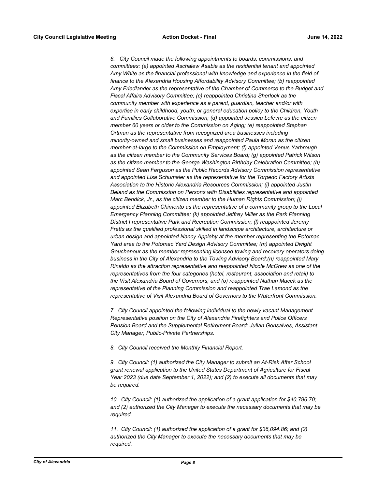*6. City Council made the following appointments to boards, commissions, and committees: (a) appointed Aschalew Asabie as the residential tenant and appointed Amy White as the financial professional with knowledge and experience in the field of finance to the Alexandria Housing Affordability Advisory Committee; (b) reappointed Amy Friedlander as the representative of the Chamber of Commerce to the Budget and Fiscal Affairs Advisory Committee; (c) reappointed Christina Sherlock as the community member with experience as a parent, guardian, teacher and/or with expertise in early childhood, youth, or general education policy to the Children, Youth and Families Collaborative Commission; (d) appointed Jessica Lefevre as the citizen member 60 years or older to the Commission on Aging; (e) reappointed Stephan Ortman as the representative from recognized area businesses including minority-owned and small businesses and reappointed Paula Moran as the citizen member-at-large to the Commission on Employment; (f) appointed Venus Yarbrough as the citizen member to the Community Services Board; (g) appointed Patrick Wilson as the citizen member to the George Washington Birthday Celebration Committee; (h) appointed Sean Ferguson as the Public Records Advisory Commission representative and appointed Lisa Schumaier as the representative for the Torpedo Factory Artists Association to the Historic Alexandria Resources Commission; (i) appointed Justin Beland as the Commission on Persons with Disabilities representative and appointed Marc Bendick, Jr., as the citizen member to the Human Rights Commission; (j) appointed Elizabeth Chimento as the representative of a community group to the Local Emergency Planning Committee; (k) appointed Jeffrey Miller as the Park Planning District I representative Park and Recreation Commission; (l) reappointed Jeremy Fretts as the qualified professional skilled in landscape architecture, architecture or urban design and appointed Nancy Appleby at the member representing the Potomac Yard area to the Potomac Yard Design Advisory Committee; (m) appointed Dwight Gouchenour as the member representing licensed towing and recovery operators doing business in the City of Alexandria to the Towing Advisory Board;(n) reappointed Mary Rinaldo as the attraction representative and reappointed Nicole McGrew as one of the representatives from the four categories (hotel, restaurant, association and retail) to the Visit Alexandria Board of Governors; and (o) reappointed Nathan Macek as the representative of the Planning Commission and reappointed Trae Lamond as the representative of Visit Alexandria Board of Governors to the Waterfront Commission.* 

*7. City Council appointed the following individual to the newly vacant Management Representative position on the City of Alexandria Firefighters and Police Officers Pension Board and the Supplemental Retirement Board: Julian Gonsalves, Assistant City Manager, Public-Private Partnerships.*

*8. City Council received the Monthly Financial Report.*

*9. City Council: (1) authorized the City Manager to submit an At-Risk After School grant renewal application to the United States Department of Agriculture for Fiscal Year 2023 (due date September 1, 2022); and (2) to execute all documents that may be required.* 

*10. City Council: (1) authorized the application of a grant application for \$40,796.70; and (2) authorized the City Manager to execute the necessary documents that may be required.*

*11. City Council: (1) authorized the application of a grant for \$36,094.86; and (2) authorized the City Manager to execute the necessary documents that may be required.*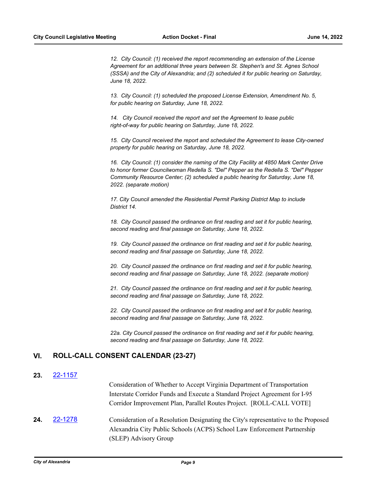*12. City Council: (1) received the report recommending an extension of the License Agreement for an additional three years between St. Stephen's and St. Agnes School (SSSA) and the City of Alexandria; and (2) scheduled it for public hearing on Saturday, June 18, 2022.*

*13. City Council: (1) scheduled the proposed License Extension, Amendment No. 5, for public hearing on Saturday, June 18, 2022.*

*14. City Council received the report and set the Agreement to lease public right-of-way for public hearing on Saturday, June 18, 2022.*

*15. City Council received the report and scheduled the Agreement to lease City-owned property for public hearing on Saturday, June 18, 2022.*

*16. City Council: (1) consider the naming of the City Facility at 4850 Mark Center Drive to honor former Councilwoman Redella S. "Del" Pepper as the Redella S. "Del" Pepper Community Resource Center; (2) scheduled a public hearing for Saturday, June 18, 2022. (separate motion)*

*17. City Council amended the Residential Permit Parking District Map to include District 14.*

*18. City Council passed the ordinance on first reading and set it for public hearing, second reading and final passage on Saturday, June 18, 2022.*

*19. City Council passed the ordinance on first reading and set it for public hearing, second reading and final passage on Saturday, June 18, 2022.* 

*20. City Council passed the ordinance on first reading and set it for public hearing, second reading and final passage on Saturday, June 18, 2022. (separate motion)*

*21. City Council passed the ordinance on first reading and set it for public hearing, second reading and final passage on Saturday, June 18, 2022.* 

*22. City Council passed the ordinance on first reading and set it for public hearing, second reading and final passage on Saturday, June 18, 2022.* 

*22a. City Council passed the ordinance on first reading and set it for public hearing, second reading and final passage on Saturday, June 18, 2022.*

## **VI. ROLL-CALL CONSENT CALENDAR (23-27)**

### **23.** [22-1157](http://alexandria.legistar.com/gateway.aspx?m=l&id=/matter.aspx?key=14755)

Consideration of Whether to Accept Virginia Department of Transportation Interstate Corridor Funds and Execute a Standard Project Agreement for I-95 Corridor Improvement Plan, Parallel Routes Project. [ROLL-CALL VOTE]

**24.** [22-1278](http://alexandria.legistar.com/gateway.aspx?m=l&id=/matter.aspx?key=14876) Consideration of a Resolution Designating the City's representative to the Proposed Alexandria City Public Schools (ACPS) School Law Enforcement Partnership (SLEP) Advisory Group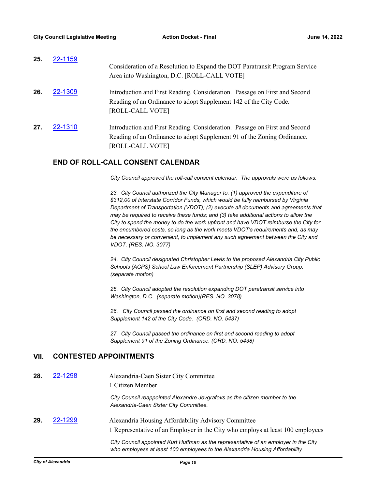| 25. | 22-1159 | Consideration of a Resolution to Expand the DOT Paratransit Program Service<br>Area into Washington, D.C. [ROLL-CALL VOTE]                                                |
|-----|---------|---------------------------------------------------------------------------------------------------------------------------------------------------------------------------|
| 26. | 22-1309 | Introduction and First Reading. Consideration. Passage on First and Second<br>Reading of an Ordinance to adopt Supplement 142 of the City Code.<br>[ROLL-CALL VOTE]       |
| 27. | 22-1310 | Introduction and First Reading. Consideration. Passage on First and Second<br>Reading of an Ordinance to adopt Supplement 91 of the Zoning Ordinance.<br>[ROLL-CALL VOTE] |

## **END OF ROLL-CALL CONSENT CALENDAR**

*City Council approved the roll-call consent calendar. The approvals were as follows:* 

*23. City Council authorized the City Manager to: (1) approved the expenditure of \$312,00 of Interstate Corridor Funds, which would be fully reimbursed by Virginia Department of Transportation (VDOT); (2) execute all documents and agreements that may be required to receive these funds; and (3) take additional actions to allow the City to spend the money to do the work upfront and have VDOT reimburse the City for the encumbered costs, so long as the work meets VDOT's requirements and, as may be necessary or convenient, to implement any such agreement between the City and VDOT. (RES. NO. 3077)*

*24. City Council designated Christopher Lewis to the proposed Alexandria City Public Schools (ACPS) School Law Enforcement Partnership (SLEP) Advisory Group. (separate motion)*

*25. City Council adopted the resolution expanding DOT paratransit service into Washington, D.C. (separate motion)(RES. NO. 3078)*

*26. City Council passed the ordinance on first and second reading to adopt Supplement 142 of the City Code. (ORD. NO. 5437)*

*27. City Council passed the ordinance on first and second reading to adopt Supplement 91 of the Zoning Ordinance. (ORD. NO. 5438)*

## **VII. CONTESTED APPOINTMENTS**

| 28. | 22-1298 | Alexandria-Caen Sister City Committee<br>1 Citizen Member                                                                                                            |
|-----|---------|----------------------------------------------------------------------------------------------------------------------------------------------------------------------|
|     |         | City Council reappointed Alexandre Jevgrafovs as the citizen member to the<br>Alexandria-Caen Sister City Committee.                                                 |
| 29. | 22-1299 | Alexandria Housing Affordability Advisory Committee<br>1 Representative of an Employer in the City who employs at least 100 employees                                |
|     |         | City Council appointed Kurt Huffman as the representative of an employer in the City<br>who employess at least 100 employees to the Alexandria Housing Affordability |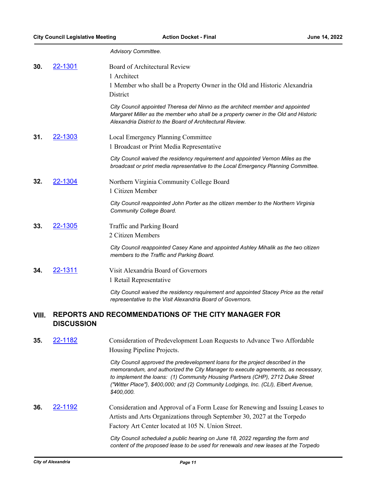*Advisory Committee.*

| 30.   | <u>22-1301</u>                                                                  | Board of Architectural Review<br>1 Architect                                                                                                                                                                                                                                                                                                               |
|-------|---------------------------------------------------------------------------------|------------------------------------------------------------------------------------------------------------------------------------------------------------------------------------------------------------------------------------------------------------------------------------------------------------------------------------------------------------|
|       |                                                                                 | 1 Member who shall be a Property Owner in the Old and Historic Alexandria<br>District                                                                                                                                                                                                                                                                      |
|       |                                                                                 | City Council appointed Theresa del Ninno as the architect member and appointed<br>Margaret Miller as the member who shall be a property owner in the Old and Historic<br>Alexandria District to the Board of Architectural Review.                                                                                                                         |
| 31.   | 22-1303                                                                         | Local Emergency Planning Committee<br>1 Broadcast or Print Media Representative                                                                                                                                                                                                                                                                            |
|       |                                                                                 | City Council waived the residency requirement and appointed Vernon Miles as the<br>broadcast or print media representative to the Local Emergency Planning Committee.                                                                                                                                                                                      |
| 32.   | 22-1304                                                                         | Northern Virginia Community College Board<br>1 Citizen Member                                                                                                                                                                                                                                                                                              |
|       |                                                                                 | City Council reappointed John Porter as the citizen member to the Northern Virginia<br>Community College Board.                                                                                                                                                                                                                                            |
| 33.   | 22-1305                                                                         | Traffic and Parking Board<br>2 Citizen Members                                                                                                                                                                                                                                                                                                             |
|       |                                                                                 | City Council reappointed Casey Kane and appointed Ashley Mihalik as the two citizen<br>members to the Traffic and Parking Board.                                                                                                                                                                                                                           |
| 34.   | 22-1311                                                                         | Visit Alexandria Board of Governors<br>1 Retail Representative                                                                                                                                                                                                                                                                                             |
|       |                                                                                 | City Council waived the residency requirement and appointed Stacey Price as the retail<br>representative to the Visit Alexandria Board of Governors.                                                                                                                                                                                                       |
| VIII. | <b>REPORTS AND RECOMMENDATIONS OF THE CITY MANAGER FOR</b><br><b>DISCUSSION</b> |                                                                                                                                                                                                                                                                                                                                                            |
| 35.   | 22-1182                                                                         | Consideration of Predevelopment Loan Requests to Advance Two Affordable<br>Housing Pipeline Projects.                                                                                                                                                                                                                                                      |
|       |                                                                                 | City Council approved the predevelopment loans for the project described in the<br>memorandum, and authorized the City Manager to execute agreements, as necessary,<br>to implement the loans: (1) Community Housing Partners (CHP), 2712 Duke Street<br>("Witter Place"), \$400,000; and (2) Community Lodgings, Inc. (CLI), Elbert Avenue,<br>\$400,000. |
| 36.   | <u>22-1192</u>                                                                  | Consideration and Approval of a Form Lease for Renewing and Issuing Leases to<br>Artists and Arts Organizations through September 30, 2027 at the Torpedo<br>Factory Art Center located at 105 N. Union Street.                                                                                                                                            |

*City Council scheduled a public hearing on June 18, 2022 regarding the form and content of the proposed lease to be used for renewals and new leases at the Torpedo*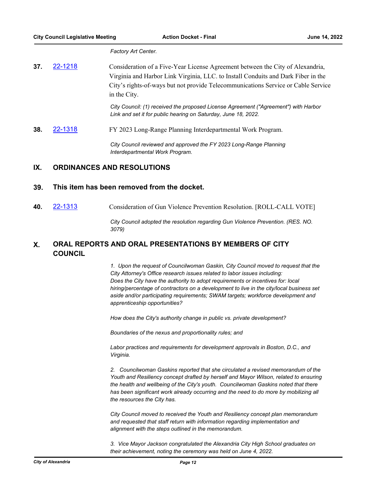*Factory Art Center.*

**37.** [22-1218](http://alexandria.legistar.com/gateway.aspx?m=l&id=/matter.aspx?key=14816) Consideration of a Five-Year License Agreement between the City of Alexandria, Virginia and Harbor Link Virginia, LLC. to Install Conduits and Dark Fiber in the City's rights-of-ways but not provide Telecommunications Service or Cable Service in the City.

> *City Council: (1) received the proposed License Agreement ("Agreement") with Harbor Link and set it for public hearing on Saturday, June 18, 2022.*

**38.** [22-1318](http://alexandria.legistar.com/gateway.aspx?m=l&id=/matter.aspx?key=14916) FY 2023 Long-Range Planning Interdepartmental Work Program.

*City Council reviewed and approved the FY 2023 Long-Range Planning Interdepartmental Work Program.*

## **IX. ORDINANCES AND RESOLUTIONS**

## **39. This item has been removed from the docket.**

**40.** [22-1313](http://alexandria.legistar.com/gateway.aspx?m=l&id=/matter.aspx?key=14911) Consideration of Gun Violence Prevention Resolution. [ROLL-CALL VOTE]

*City Council adopted the resolution regarding Gun Violence Prevention. (RES. NO. 3079)*

#### **ORAL REPORTS AND ORAL PRESENTATIONS BY MEMBERS OF CITY COUNCIL X.**

*1. Upon the request of Councilwoman Gaskin, City Council moved to request that the City Attorney's Office research issues related to labor issues including: Does the City have the authority to adopt requirements or incentives for: local hiring/percentage of contractors on a development to live in the city/local business set aside and/or participating requirements; SWAM targets; workforce development and apprenticeship opportunities?*

*How does the City's authority change in public vs. private development?*

*Boundaries of the nexus and proportionality rules; and*

*Labor practices and requirements for development approvals in Boston, D.C., and Virginia.*

*2. Councilwoman Gaskins reported that she circulated a revised memorandum of the Youth and Resiliency concept drafted by herself and Mayor Wilson, related to ensuring the health and wellbeing of the City's youth. Councilwoman Gaskins noted that there has been significant work already occurring and the need to do more by mobilizing all the resources the City has.*

*City Council moved to received the Youth and Resiliency concept plan memorandum and requested that staff return with information regarding implementation and alignment with the steps outlined in the memorandum.*

*3. Vice Mayor Jackson congratulated the Alexandria City High School graduates on their achievement, noting the ceremony was held on June 4, 2022.*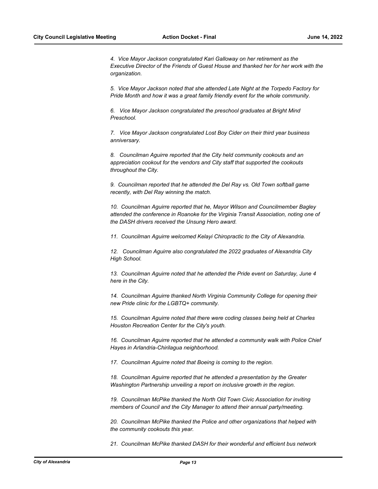*4. Vice Mayor Jackson congratulated Kari Galloway on her retirement as the Executive Director of the Friends of Guest House and thanked her for her work with the organization.*

*5. Vice Mayor Jackson noted that she attended Late Night at the Torpedo Factory for Pride Month and how it was a great family friendly event for the whole community.*

*6. Vice Mayor Jackson congratulated the preschool graduates at Bright Mind Preschool.*

*7. Vice Mayor Jackson congratulated Lost Boy Cider on their third year business anniversary.*

*8. Councilman Aguirre reported that the City held community cookouts and an appreciation cookout for the vendors and City staff that supported the cookouts throughout the City.*

9. Councilman reported that he attended the Del Ray vs. Old Town softball game *recently, with Del Ray winning the match.*

*10. Councilman Aguirre reported that he, Mayor Wilson and Councilmember Bagley attended the conference in Roanoke for the Virginia Transit Association, noting one of the DASH drivers received the Unsung Hero award.*

*11. Councilman Aguirre welcomed Kelayi Chiropractic to the City of Alexandria.*

*12. Councilman Aguirre also congratulated the 2022 graduates of Alexandria City High School.*

*13. Councilman Aguirre noted that he attended the Pride event on Saturday, June 4 here in the City.*

*14. Councilman Aguirre thanked North Virginia Community College for opening their new Pride clinic for the LGBTQ+ community.*

*15. Councilman Aguirre noted that there were coding classes being held at Charles Houston Recreation Center for the City's youth.*

*16. Councilman Aguirre reported that he attended a community walk with Police Chief Hayes in Arlandria-Chirilagua neighborhood.* 

*17. Councilman Aguirre noted that Boeing is coming to the region.*

*18. Councilman Aguirre reported that he attended a presentation by the Greater Washington Partnership unveiling a report on inclusive growth in the region.*

*19. Councilman McPike thanked the North Old Town Civic Association for inviting members of Council and the City Manager to attend their annual party/meeting.*

*20. Councilman McPike thanked the Police and other organizations that helped with the community cookouts this year.* 

*21. Councilman McPike thanked DASH for their wonderful and efficient bus network*